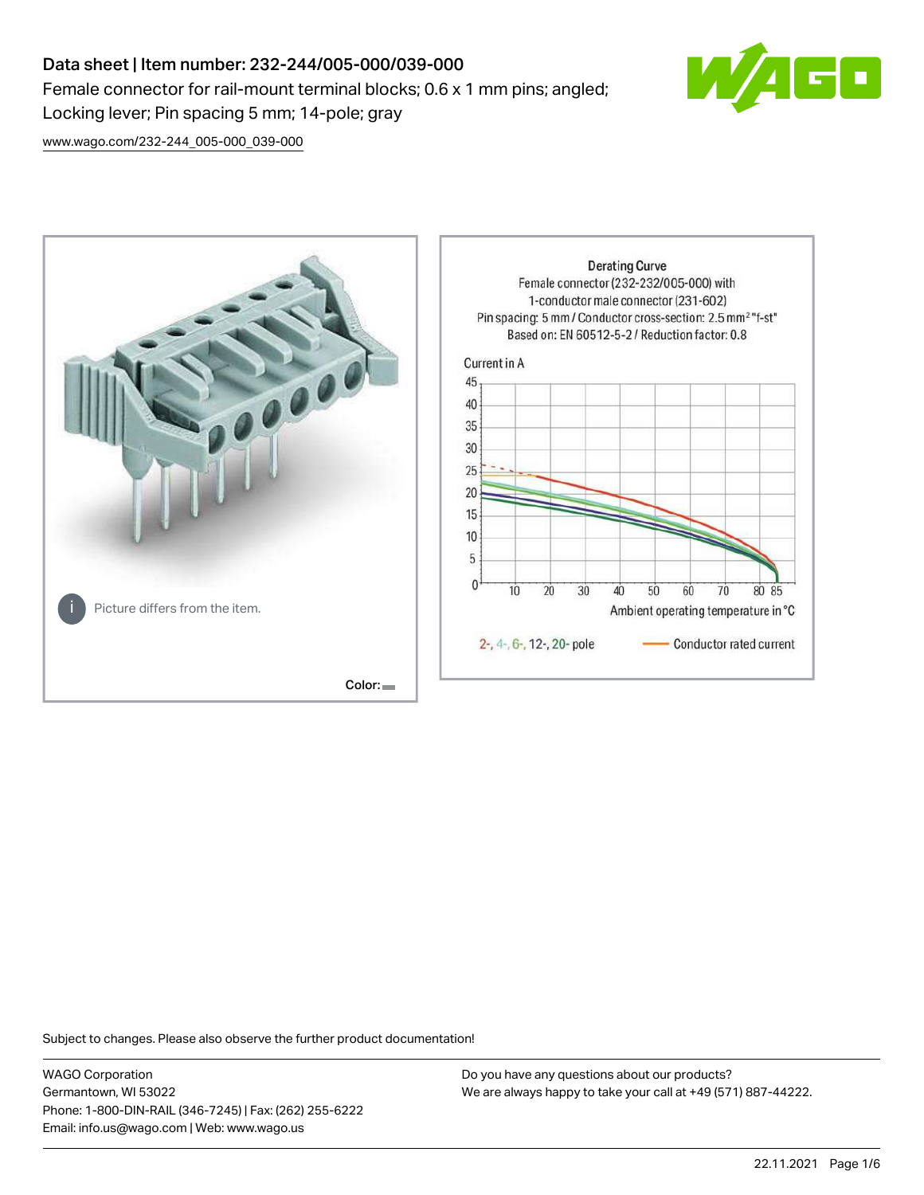# Data sheet | Item number: 232-244/005-000/039-000 Female connector for rail-mount terminal blocks; 0.6 x 1 mm pins; angled; Locking lever; Pin spacing 5 mm; 14-pole; gray



[www.wago.com/232-244\\_005-000\\_039-000](http://www.wago.com/232-244_005-000_039-000)



Subject to changes. Please also observe the further product documentation!

WAGO Corporation Germantown, WI 53022 Phone: 1-800-DIN-RAIL (346-7245) | Fax: (262) 255-6222 Email: info.us@wago.com | Web: www.wago.us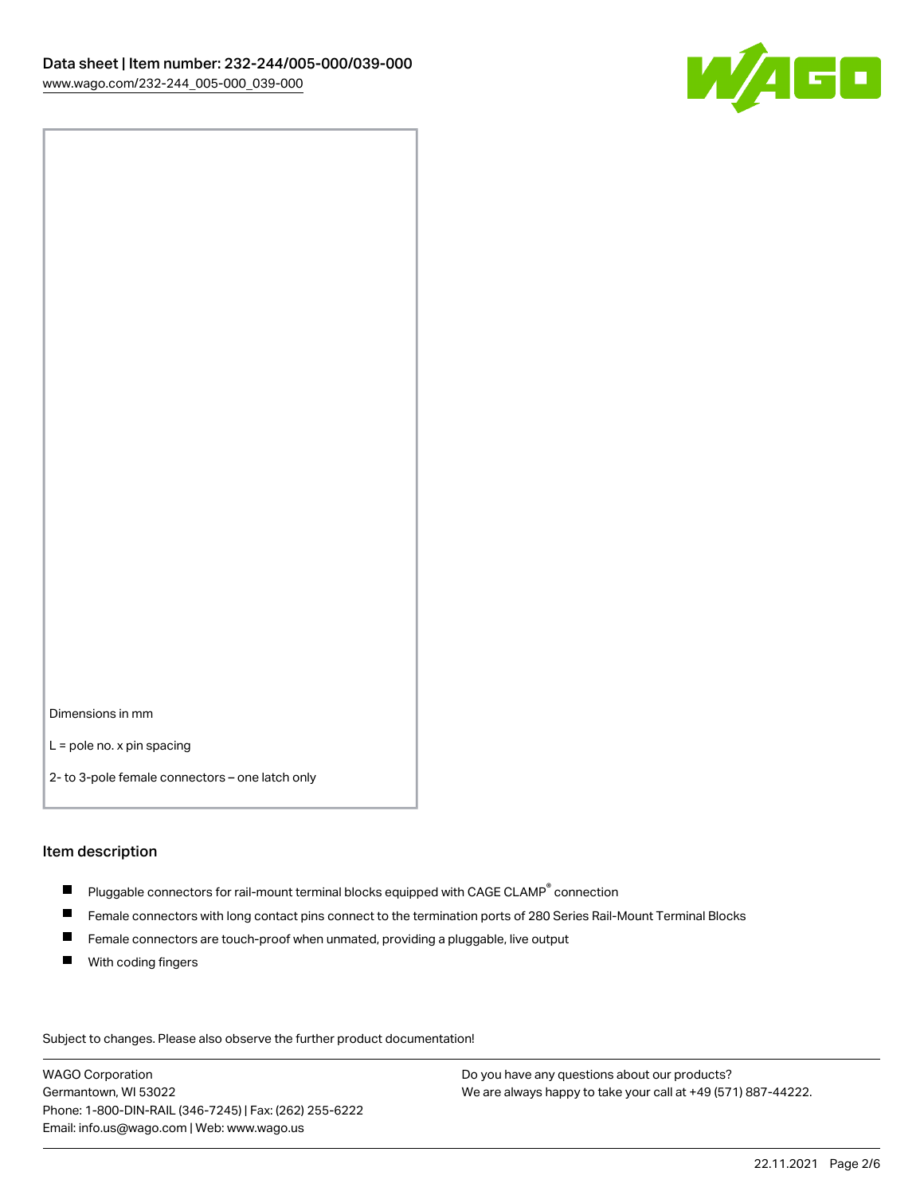

Dimensions in mm

L = pole no. x pin spacing

2- to 3-pole female connectors – one latch only

#### Item description

- $\blacksquare$  Pluggable connectors for rail-mount terminal blocks equipped with CAGE CLAMP $^\circ$  connection
- Female connectors with long contact pins connect to the termination ports of 280 Series Rail-Mount Terminal Blocks
- $\blacksquare$ Female connectors are touch-proof when unmated, providing a pluggable, live output
- $\blacksquare$ With coding fingers

Subject to changes. Please also observe the further product documentation! Data

WAGO Corporation Germantown, WI 53022 Phone: 1-800-DIN-RAIL (346-7245) | Fax: (262) 255-6222 Email: info.us@wago.com | Web: www.wago.us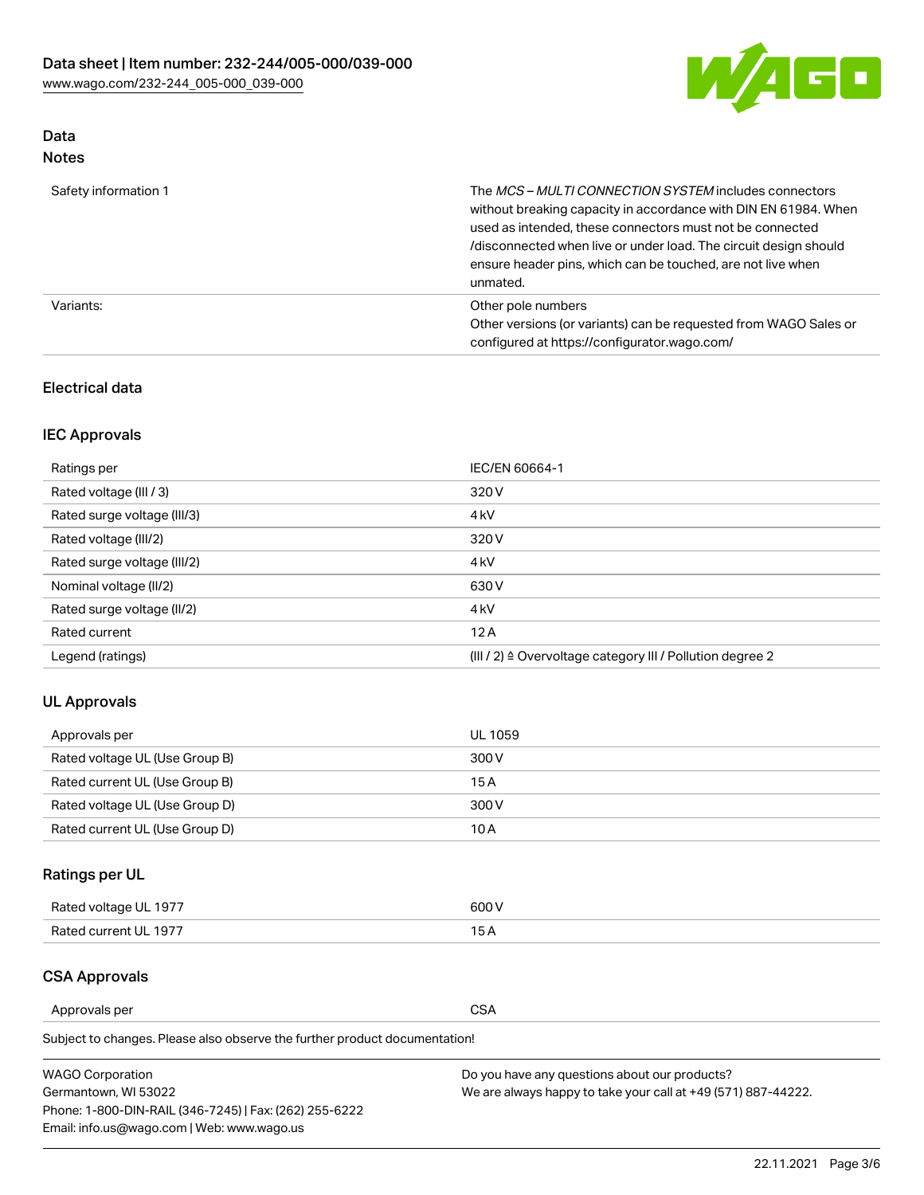

# Data

| Safety information 1 | The MCS-MULTI CONNECTION SYSTEM includes connectors<br>without breaking capacity in accordance with DIN EN 61984. When<br>used as intended, these connectors must not be connected<br>/disconnected when live or under load. The circuit design should<br>ensure header pins, which can be touched, are not live when<br>unmated. |
|----------------------|-----------------------------------------------------------------------------------------------------------------------------------------------------------------------------------------------------------------------------------------------------------------------------------------------------------------------------------|
| Variants:            | Other pole numbers<br>Other versions (or variants) can be requested from WAGO Sales or<br>configured at https://configurator.wago.com/                                                                                                                                                                                            |

## Electrical data

## IEC Approvals

| Ratings per                 | IEC/EN 60664-1                                                        |
|-----------------------------|-----------------------------------------------------------------------|
| Rated voltage (III / 3)     | 320 V                                                                 |
| Rated surge voltage (III/3) | 4 <sub>k</sub> V                                                      |
| Rated voltage (III/2)       | 320 V                                                                 |
| Rated surge voltage (III/2) | 4 <sub>k</sub> V                                                      |
| Nominal voltage (II/2)      | 630 V                                                                 |
| Rated surge voltage (II/2)  | 4 <sub>k</sub> V                                                      |
| Rated current               | 12A                                                                   |
| Legend (ratings)            | $(III / 2)$ $\triangle$ Overvoltage category III / Pollution degree 2 |

## UL Approvals

| Approvals per                  | UL 1059 |
|--------------------------------|---------|
| Rated voltage UL (Use Group B) | 300 V   |
| Rated current UL (Use Group B) | 15 A    |
| Rated voltage UL (Use Group D) | 300 V   |
| Rated current UL (Use Group D) | 10 A    |

## Ratings per UL

| Rated voltage UL 1977 | 300 V |
|-----------------------|-------|
| Rated current UL 1977 |       |

## CSA Approvals

Approvals per CSA

Subject to changes. Please also observe the further product documentation!

| <b>WAGO Corporation</b>                                | Do you have any questions about our products?                 |
|--------------------------------------------------------|---------------------------------------------------------------|
| Germantown, WI 53022                                   | We are always happy to take your call at +49 (571) 887-44222. |
| Phone: 1-800-DIN-RAIL (346-7245)   Fax: (262) 255-6222 |                                                               |
| Email: info.us@wago.com   Web: www.wago.us             |                                                               |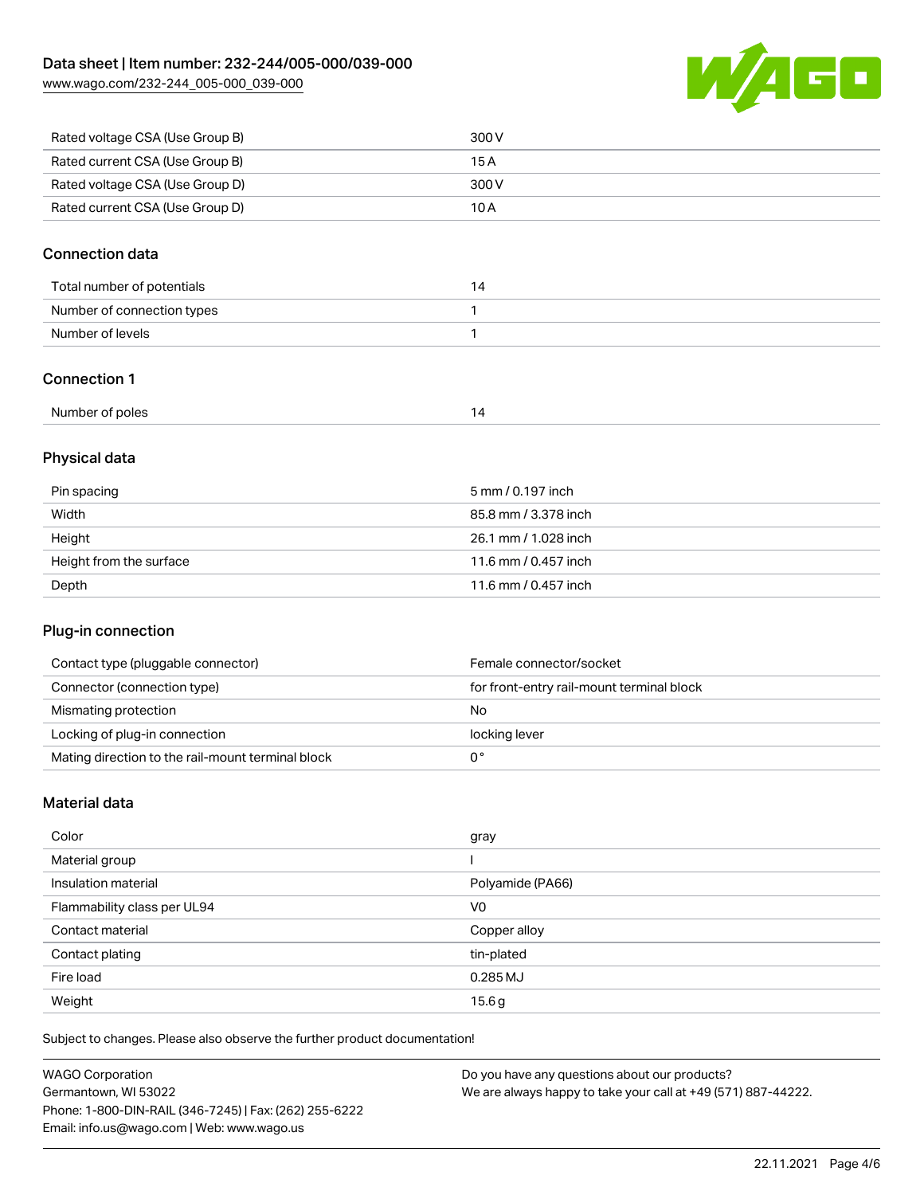[www.wago.com/232-244\\_005-000\\_039-000](http://www.wago.com/232-244_005-000_039-000)



| Rated voltage CSA (Use Group B) | 300 V |
|---------------------------------|-------|
| Rated current CSA (Use Group B) | 15 A  |
| Rated voltage CSA (Use Group D) | 300 V |
| Rated current CSA (Use Group D) | 10 A  |

## Connection data

| Total number of potentials | 14 |
|----------------------------|----|
| Number of connection types |    |
| Number of levels           |    |

## Connection 1

| Number of poles |  |
|-----------------|--|
|                 |  |

## Physical data

| Pin spacing             | 5 mm / 0.197 inch    |
|-------------------------|----------------------|
| Width                   | 85.8 mm / 3.378 inch |
| Height                  | 26.1 mm / 1.028 inch |
| Height from the surface | 11.6 mm / 0.457 inch |
| Depth                   | 11.6 mm / 0.457 inch |

## Plug-in connection

| Contact type (pluggable connector)                | Female connector/socket                   |
|---------------------------------------------------|-------------------------------------------|
| Connector (connection type)                       | for front-entry rail-mount terminal block |
| Mismating protection                              | No                                        |
| Locking of plug-in connection                     | locking lever                             |
| Mating direction to the rail-mount terminal block |                                           |

## Material data

| Color                       | gray             |
|-----------------------------|------------------|
| Material group              |                  |
| Insulation material         | Polyamide (PA66) |
| Flammability class per UL94 | V <sub>0</sub>   |
| Contact material            | Copper alloy     |
| Contact plating             | tin-plated       |
| Fire load                   | 0.285 MJ         |
| Weight                      | 15.6g            |

Subject to changes. Please also observe the further product documentation!

| <b>WAGO Corporation</b>                                | Do you have any questions about our products?                 |
|--------------------------------------------------------|---------------------------------------------------------------|
| Germantown, WI 53022                                   | We are always happy to take your call at +49 (571) 887-44222. |
| Phone: 1-800-DIN-RAIL (346-7245)   Fax: (262) 255-6222 |                                                               |
| Email: info.us@wago.com   Web: www.wago.us             |                                                               |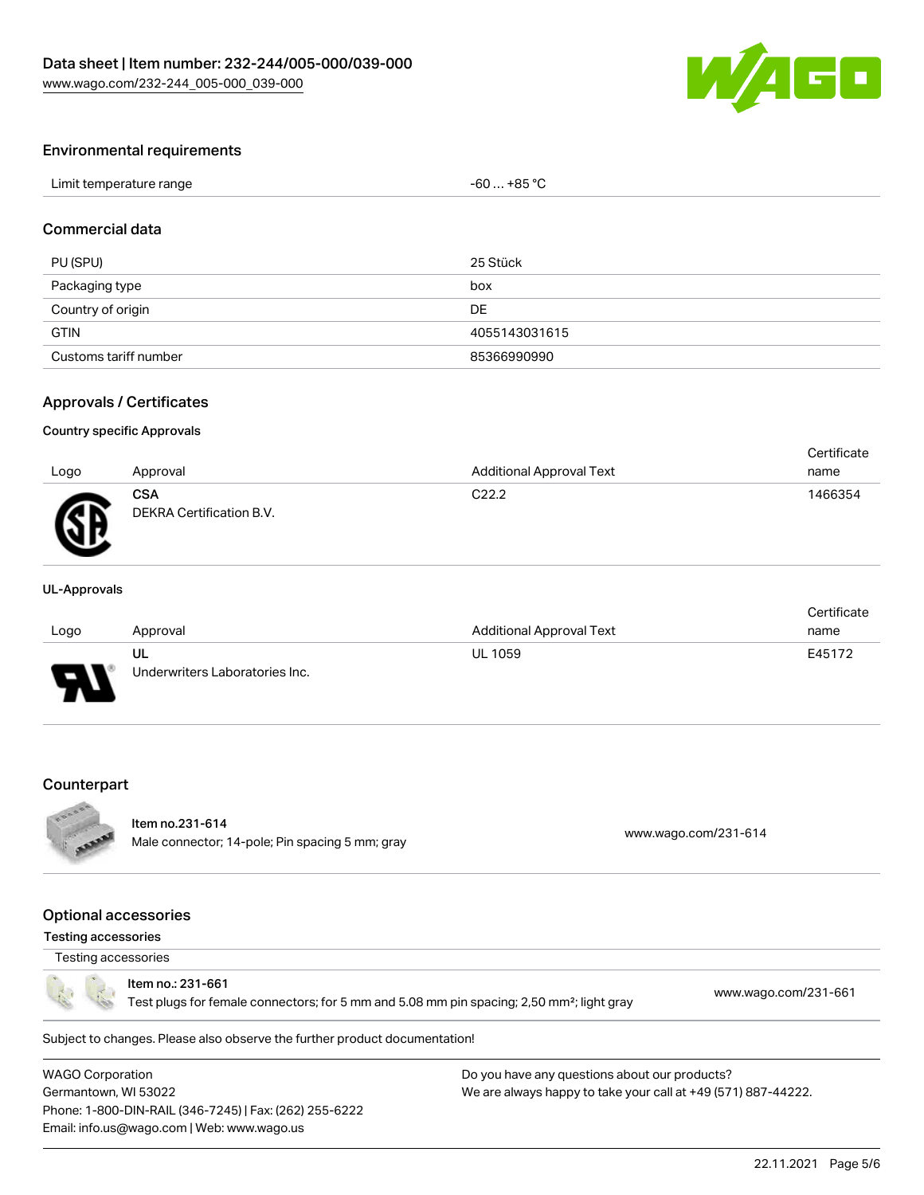

#### Environmental requirements

| Limit temperature range | $-60+85 °C$ |
|-------------------------|-------------|
|-------------------------|-------------|

## Commercial data

| PU (SPU)              | 25 Stück      |
|-----------------------|---------------|
| Packaging type        | box           |
| Country of origin     | DE            |
| <b>GTIN</b>           | 4055143031615 |
| Customs tariff number | 85366990990   |

#### Approvals / Certificates

#### Country specific Approvals

| Logo | Approval                               | Additional Approval Text | Certificate<br>name |
|------|----------------------------------------|--------------------------|---------------------|
| Æ    | <b>CSA</b><br>DEKRA Certification B.V. | C <sub>22.2</sub>        | 1466354             |

#### UL-Approvals

|      |                                |                                 | Certificate |
|------|--------------------------------|---------------------------------|-------------|
| Logo | Approval                       | <b>Additional Approval Text</b> | name        |
|      | UL                             | <b>UL 1059</b>                  | E45172      |
| J    | Underwriters Laboratories Inc. |                                 |             |

#### **Counterpart**



## Item no.231-614

Nell 110.251-614<br>Male connector; 14-pole; Pin spacing 5 mm; gray [www.wago.com/231-614](https://www.wago.com/231-614)

## Optional accessories

## Testing accessories

# Testing accessories

Item no.: 231-661

Test plugs for female connectors; for 5 mm and 5.08 mm pin spacing; 2,50 mm²; light gray [www.wago.com/231-661](http://www.wago.com/231-661)

Subject to changes. Please also observe the further product documentation!

WAGO Corporation Germantown, WI 53022 Phone: 1-800-DIN-RAIL (346-7245) | Fax: (262) 255-6222 Email: info.us@wago.com | Web: www.wago.us